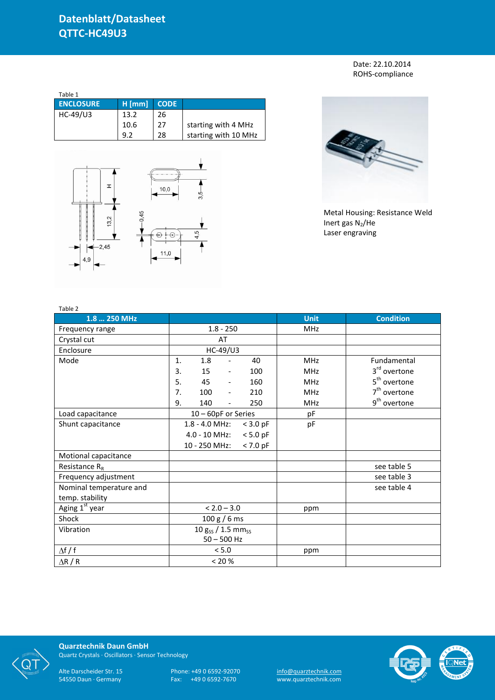Date: 22.10.2014 ROHS-compliance

| Table 1          |          |             |                      |
|------------------|----------|-------------|----------------------|
| <b>ENCLOSURE</b> | $H$ [mm] | <b>CODE</b> |                      |
| HC-49/U3         | 13.2     | 26          |                      |
|                  | 10.6     | 27          | starting with 4 MHz  |
|                  | 9)       | 28          | starting with 10 MHz |





Metal Housing: Resistance Weld Inert gas  $N_2$ /He Laser engraving

| Table 2                    |                                    |                          |            |             |                          |
|----------------------------|------------------------------------|--------------------------|------------|-------------|--------------------------|
| 1.8  250 MHz               |                                    |                          |            | <b>Unit</b> | <b>Condition</b>         |
| Frequency range            | $1.8 - 250$                        |                          |            | <b>MHz</b>  |                          |
| Crystal cut                |                                    | AT                       |            |             |                          |
| Enclosure                  |                                    | HC-49/U3                 |            |             |                          |
| Mode                       | 1.<br>1.8                          | $\overline{\phantom{0}}$ | 40         | <b>MHz</b>  | Fundamental              |
|                            | 15<br>3.                           | $\overline{\phantom{a}}$ | 100        | <b>MHz</b>  | 3rd overtone             |
|                            | 5.<br>45                           | $\overline{\phantom{a}}$ | 160        | <b>MHz</b>  | 5 <sup>th</sup> overtone |
|                            | 7.<br>100                          | $\overline{\phantom{a}}$ | 210        | <b>MHz</b>  | $7th$ overtone           |
|                            | 140<br>9.                          | $\overline{\phantom{0}}$ | 250        | <b>MHz</b>  | 9 <sup>th</sup> overtone |
| Load capacitance           | 10 - 60pF or Series                |                          |            | pF          |                          |
| Shunt capacitance          | 1.8 - 4.0 MHz:                     |                          | $<$ 3.0 pF | pF          |                          |
|                            | 4.0 - 10 MHz:                      |                          | $< 5.0$ pF |             |                          |
|                            | 10 - 250 MHz:                      |                          | $< 7.0$ pF |             |                          |
| Motional capacitance       |                                    |                          |            |             |                          |
| Resistance $R_R$           |                                    |                          |            |             | see table 5              |
| Frequency adjustment       |                                    |                          |            |             | see table 3              |
| Nominal temperature and    |                                    |                          |            |             | see table 4              |
| temp. stability            |                                    |                          |            |             |                          |
| Aging 1 <sup>st</sup> year | $< 2.0 - 3.0$                      |                          | ppm        |             |                          |
| Shock                      | 100 g / 6 ms                       |                          |            |             |                          |
| Vibration                  | 10 $g_{SS}$ / 1.5 mm <sub>ss</sub> |                          |            |             |                          |
|                            | $50 - 500$ Hz                      |                          |            |             |                          |
| $\Delta f / f$             |                                    | < 5.0                    |            | ppm         |                          |
| $\Delta$ R / R             | < 20 %                             |                          |            |             |                          |



**Quarztechnik Daun GmbH** Quartz Crystals · Oscillators · Sensor Technology

Alte Darscheider Str. 15 Phone: +49 0 6592-92070 <u>info@quarztechnik.com</u>

54550 Daun · Germany Fax: +49 0 6592-7670 www.quarztechnik.com